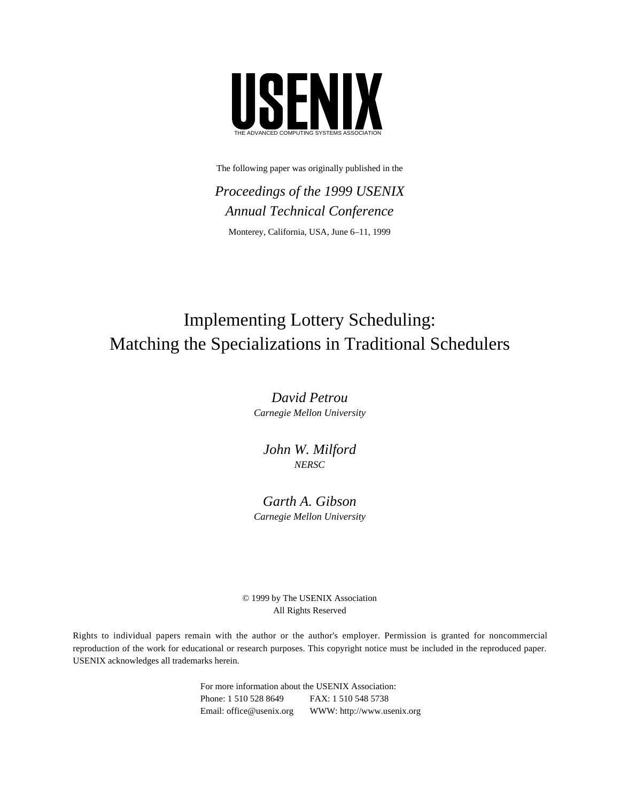

The following paper was originally published in the

*Proceedings of the 1999 USENIX Annual Technical Conference* Monterey, California, USA, June 6–11, 1999

# Implementing Lottery Scheduling: Matching the Specializations in Traditional Schedulers

*David Petrou Carnegie Mellon University*

*John W. Milford NERSC*

# *Garth A. Gibson Carnegie Mellon University*

© 1999 by The USENIX Association All Rights Reserved

Rights to individual papers remain with the author or the author's employer. Permission is granted for noncommercial reproduction of the work for educational or research purposes. This copyright notice must be included in the reproduced paper. USENIX acknowledges all trademarks herein.

> For more information about the USENIX Association: Phone: 1 510 528 8649 FAX: 1 510 548 5738 Email: office@usenix.org WWW: http://www.usenix.org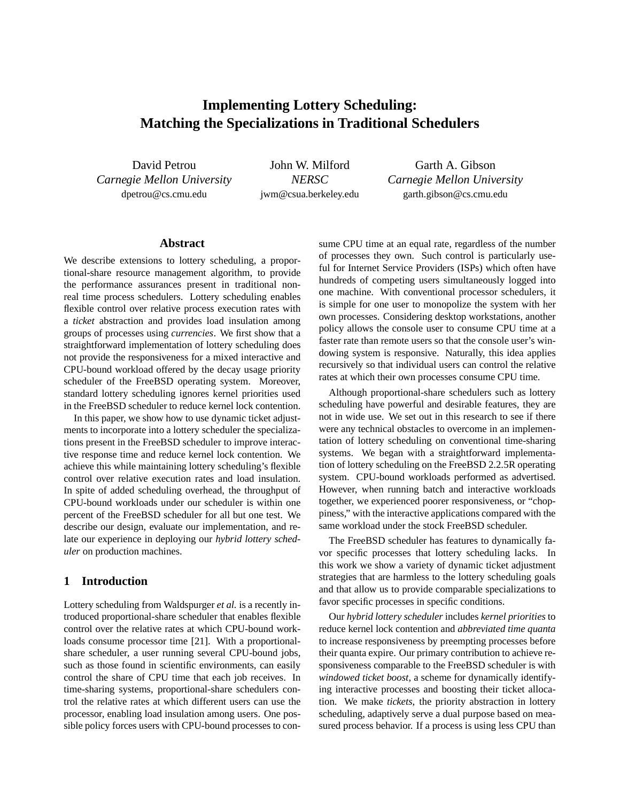# **Implementing Lottery Scheduling: Matching the Specializations in Traditional Schedulers**

David Petrou *Carnegie Mellon University* dpetrou@cs.cmu.edu

John W. Milford *NERSC* jwm@csua.berkeley.edu

Garth A. Gibson *Carnegie Mellon University* garth.gibson@cs.cmu.edu

#### **Abstract**

We describe extensions to lottery scheduling, a proportional-share resource management algorithm, to provide the performance assurances present in traditional nonreal time process schedulers. Lottery scheduling enables flexible control over relative process execution rates with a *ticket* abstraction and provides load insulation among groups of processes using *currencies*. We first show that a straightforward implementation of lottery scheduling does not provide the responsiveness for a mixed interactive and CPU-bound workload offered by the decay usage priority scheduler of the FreeBSD operating system. Moreover, standard lottery scheduling ignores kernel priorities used in the FreeBSD scheduler to reduce kernel lock contention.

In this paper, we show how to use dynamic ticket adjustments to incorporate into a lottery scheduler the specializations present in the FreeBSD scheduler to improve interactive response time and reduce kernel lock contention. We achieve this while maintaining lottery scheduling's flexible control over relative execution rates and load insulation. In spite of added scheduling overhead, the throughput of CPU-bound workloads under our scheduler is within one percent of the FreeBSD scheduler for all but one test. We describe our design, evaluate our implementation, and relate our experience in deploying our *hybrid lottery scheduler* on production machines.

#### **1 Introduction**

Lottery scheduling from Waldspurger *et al.* is a recently introduced proportional-share scheduler that enables flexible control over the relative rates at which CPU-bound workloads consume processor time [21]. With a proportionalshare scheduler, a user running several CPU-bound jobs, such as those found in scientific environments, can easily control the share of CPU time that each job receives. In time-sharing systems, proportional-share schedulers control the relative rates at which different users can use the processor, enabling load insulation among users. One possible policy forces users with CPU-bound processes to consume CPU time at an equal rate, regardless of the number of processes they own. Such control is particularly useful for Internet Service Providers (ISPs) which often have hundreds of competing users simultaneously logged into one machine. With conventional processor schedulers, it is simple for one user to monopolize the system with her own processes. Considering desktop workstations, another policy allows the console user to consume CPU time at a faster rate than remote users so that the console user's windowing system is responsive. Naturally, this idea applies recursively so that individual users can control the relative rates at which their own processes consume CPU time.

Although proportional-share schedulers such as lottery scheduling have powerful and desirable features, they are not in wide use. We set out in this research to see if there were any technical obstacles to overcome in an implementation of lottery scheduling on conventional time-sharing systems. We began with a straightforward implementation of lottery scheduling on the FreeBSD 2.2.5R operating system. CPU-bound workloads performed as advertised. However, when running batch and interactive workloads together, we experienced poorer responsiveness, or "choppiness," with the interactive applications compared with the same workload under the stock FreeBSD scheduler.

The FreeBSD scheduler has features to dynamically favor specific processes that lottery scheduling lacks. In this work we show a variety of dynamic ticket adjustment strategies that are harmless to the lottery scheduling goals and that allow us to provide comparable specializations to favor specific processes in specific conditions.

Our *hybrid lottery scheduler* includes *kernel priorities* to reduce kernel lock contention and *abbreviated time quanta* to increase responsiveness by preempting processes before their quanta expire. Our primary contribution to achieve responsiveness comparable to the FreeBSD scheduler is with *windowed ticket boost*, a scheme for dynamically identifying interactive processes and boosting their ticket allocation. We make *tickets*, the priority abstraction in lottery scheduling, adaptively serve a dual purpose based on measured process behavior. If a process is using less CPU than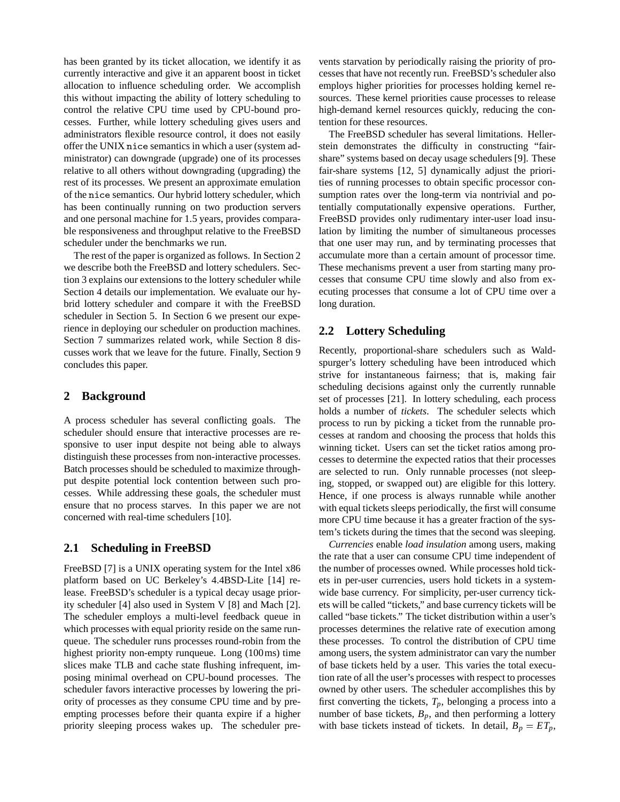has been granted by its ticket allocation, we identify it as currently interactive and give it an apparent boost in ticket allocation to influence scheduling order. We accomplish this without impacting the ability of lottery scheduling to control the relative CPU time used by CPU-bound processes. Further, while lottery scheduling gives users and administrators flexible resource control, it does not easily offer the UNIX nice semantics in which a user (system administrator) can downgrade (upgrade) one of its processes relative to all others without downgrading (upgrading) the rest of its processes. We present an approximate emulation of the nice semantics. Our hybrid lottery scheduler, which has been continually running on two production servers and one personal machine for 1.5 years, provides comparable responsiveness and throughput relative to the FreeBSD scheduler under the benchmarks we run.

The rest of the paper is organized as follows. In Section 2 we describe both the FreeBSD and lottery schedulers. Section 3 explains our extensions to the lottery scheduler while Section 4 details our implementation. We evaluate our hybrid lottery scheduler and compare it with the FreeBSD scheduler in Section 5. In Section 6 we present our experience in deploying our scheduler on production machines. Section 7 summarizes related work, while Section 8 discusses work that we leave for the future. Finally, Section 9 concludes this paper.

# **2 Background**

A process scheduler has several conflicting goals. The scheduler should ensure that interactive processes are responsive to user input despite not being able to always distinguish these processes from non-interactive processes. Batch processes should be scheduled to maximize throughput despite potential lock contention between such processes. While addressing these goals, the scheduler must ensure that no process starves. In this paper we are not concerned with real-time schedulers [10].

# **2.1 Scheduling in FreeBSD**

FreeBSD [7] is a UNIX operating system for the Intel x86 platform based on UC Berkeley's 4.4BSD-Lite [14] release. FreeBSD's scheduler is a typical decay usage priority scheduler [4] also used in System V [8] and Mach [2]. The scheduler employs a multi-level feedback queue in which processes with equal priority reside on the same runqueue. The scheduler runs processes round-robin from the highest priority non-empty runqueue. Long (100ms) time slices make TLB and cache state flushing infrequent, imposing minimal overhead on CPU-bound processes. The scheduler favors interactive processes by lowering the priority of processes as they consume CPU time and by preempting processes before their quanta expire if a higher priority sleeping process wakes up. The scheduler prevents starvation by periodically raising the priority of processes that have not recently run. FreeBSD's scheduler also employs higher priorities for processes holding kernel resources. These kernel priorities cause processes to release high-demand kernel resources quickly, reducing the contention for these resources.

The FreeBSD scheduler has several limitations. Hellerstein demonstrates the difficulty in constructing "fairshare" systems based on decay usage schedulers [9]. These fair-share systems [12, 5] dynamically adjust the priorities of running processes to obtain specific processor consumption rates over the long-term via nontrivial and potentially computationally expensive operations. Further, FreeBSD provides only rudimentary inter-user load insulation by limiting the number of simultaneous processes that one user may run, and by terminating processes that accumulate more than a certain amount of processor time. These mechanisms prevent a user from starting many processes that consume CPU time slowly and also from executing processes that consume a lot of CPU time over a long duration.

# **2.2 Lottery Scheduling**

Recently, proportional-share schedulers such as Waldspurger's lottery scheduling have been introduced which strive for instantaneous fairness; that is, making fair scheduling decisions against only the currently runnable set of processes [21]. In lottery scheduling, each process holds a number of *tickets*. The scheduler selects which process to run by picking a ticket from the runnable processes at random and choosing the process that holds this winning ticket. Users can set the ticket ratios among processes to determine the expected ratios that their processes are selected to run. Only runnable processes (not sleeping, stopped, or swapped out) are eligible for this lottery. Hence, if one process is always runnable while another with equal tickets sleeps periodically, the first will consume more CPU time because it has a greater fraction of the system's tickets during the times that the second was sleeping.

*Currencies* enable *load insulation* among users, making the rate that a user can consume CPU time independent of the number of processes owned. While processes hold tickets in per-user currencies, users hold tickets in a systemwide base currency. For simplicity, per-user currency tickets will be called "tickets," and base currency tickets will be called "base tickets." The ticket distribution within a user's processes determines the relative rate of execution among these processes. To control the distribution of CPU time among users, the system administrator can vary the number of base tickets held by a user. This varies the total execution rate of all the user's processes with respect to processes owned by other users. The scheduler accomplishes this by first converting the tickets,  $T_p$ , belonging a process into a number of base tickets,  $B_p$ , and then performing a lottery with base tickets instead of tickets. In detail,  $B_p = ET_p$ ,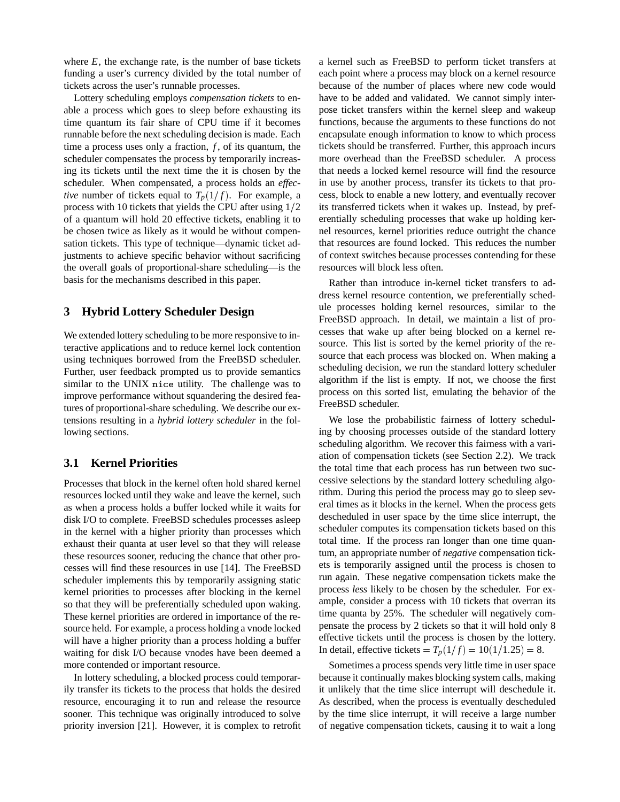where  $E$ , the exchange rate, is the number of base tickets funding a user's currency divided by the total number of tickets across the user's runnable processes.

Lottery scheduling employs *compensation tickets* to enable a process which goes to sleep before exhausting its time quantum its fair share of CPU time if it becomes runnable before the next scheduling decision is made. Each time a process uses only a fraction, *f*, of its quantum, the scheduler compensates the process by temporarily increasing its tickets until the next time the it is chosen by the scheduler. When compensated, a process holds an *effective* number of tickets equal to  $T_p(1/f)$ . For example, a process with 10 tickets that yields the CPU after using  $1/2$ of a quantum will hold 20 effective tickets, enabling it to be chosen twice as likely as it would be without compensation tickets. This type of technique—dynamic ticket adjustments to achieve specific behavior without sacrificing the overall goals of proportional-share scheduling—is the basis for the mechanisms described in this paper.

# **3 Hybrid Lottery Scheduler Design**

We extended lottery scheduling to be more responsive to interactive applications and to reduce kernel lock contention using techniques borrowed from the FreeBSD scheduler. Further, user feedback prompted us to provide semantics similar to the UNIX nice utility. The challenge was to improve performance without squandering the desired features of proportional-share scheduling. We describe our extensions resulting in a *hybrid lottery scheduler* in the following sections.

# **3.1 Kernel Priorities**

Processes that block in the kernel often hold shared kernel resources locked until they wake and leave the kernel, such as when a process holds a buffer locked while it waits for disk I/O to complete. FreeBSD schedules processes asleep in the kernel with a higher priority than processes which exhaust their quanta at user level so that they will release these resources sooner, reducing the chance that other processes will find these resources in use [14]. The FreeBSD scheduler implements this by temporarily assigning static kernel priorities to processes after blocking in the kernel so that they will be preferentially scheduled upon waking. These kernel priorities are ordered in importance of the resource held. For example, a process holding a vnode locked will have a higher priority than a process holding a buffer waiting for disk I/O because vnodes have been deemed a more contended or important resource.

In lottery scheduling, a blocked process could temporarily transfer its tickets to the process that holds the desired resource, encouraging it to run and release the resource sooner. This technique was originally introduced to solve priority inversion [21]. However, it is complex to retrofit a kernel such as FreeBSD to perform ticket transfers at each point where a process may block on a kernel resource because of the number of places where new code would have to be added and validated. We cannot simply interpose ticket transfers within the kernel sleep and wakeup functions, because the arguments to these functions do not encapsulate enough information to know to which process tickets should be transferred. Further, this approach incurs more overhead than the FreeBSD scheduler. A process that needs a locked kernel resource will find the resource in use by another process, transfer its tickets to that process, block to enable a new lottery, and eventually recover its transferred tickets when it wakes up. Instead, by preferentially scheduling processes that wake up holding kernel resources, kernel priorities reduce outright the chance that resources are found locked. This reduces the number of context switches because processes contending for these resources will block less often.

Rather than introduce in-kernel ticket transfers to address kernel resource contention, we preferentially schedule processes holding kernel resources, similar to the FreeBSD approach. In detail, we maintain a list of processes that wake up after being blocked on a kernel resource. This list is sorted by the kernel priority of the resource that each process was blocked on. When making a scheduling decision, we run the standard lottery scheduler algorithm if the list is empty. If not, we choose the first process on this sorted list, emulating the behavior of the FreeBSD scheduler.

We lose the probabilistic fairness of lottery scheduling by choosing processes outside of the standard lottery scheduling algorithm. We recover this fairness with a variation of compensation tickets (see Section 2.2). We track the total time that each process has run between two successive selections by the standard lottery scheduling algorithm. During this period the process may go to sleep several times as it blocks in the kernel. When the process gets descheduled in user space by the time slice interrupt, the scheduler computes its compensation tickets based on this total time. If the process ran longer than one time quantum, an appropriate number of *negative* compensation tickets is temporarily assigned until the process is chosen to run again. These negative compensation tickets make the process *less* likely to be chosen by the scheduler. For example, consider a process with 10 tickets that overran its time quanta by 25%. The scheduler will negatively compensate the process by 2 tickets so that it will hold only 8 effective tickets until the process is chosen by the lottery. In detail, effective tickets =  $T_p(1/f) = 10(1/1.25) = 8$ .

Sometimes a process spends very little time in user space because it continually makes blocking system calls, making it unlikely that the time slice interrupt will deschedule it. As described, when the process is eventually descheduled by the time slice interrupt, it will receive a large number of negative compensation tickets, causing it to wait a long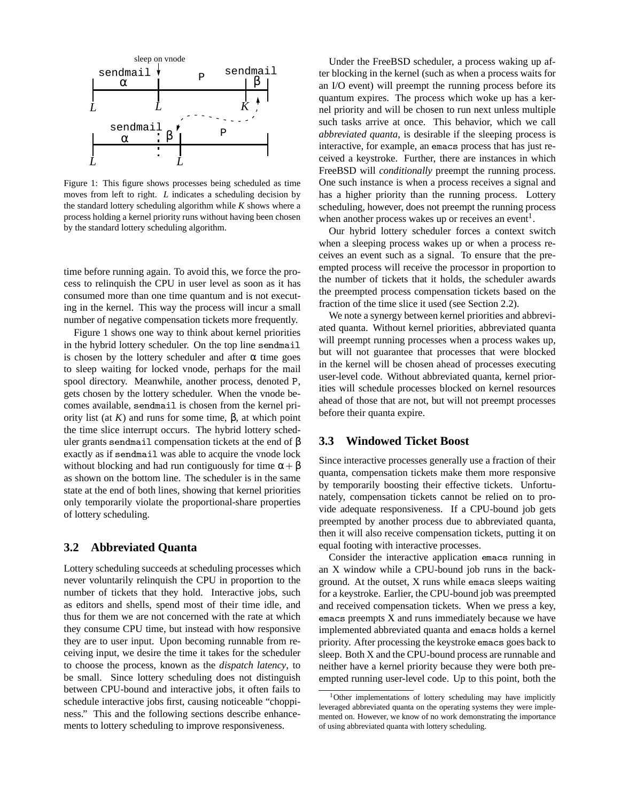

Figure 1: This figure shows processes being scheduled as time moves from left to right. *L* indicates a scheduling decision by the standard lottery scheduling algorithm while *K* shows where a process holding a kernel priority runs without having been chosen by the standard lottery scheduling algorithm.

time before running again. To avoid this, we force the process to relinquish the CPU in user level as soon as it has consumed more than one time quantum and is not executing in the kernel. This way the process will incur a small number of negative compensation tickets more frequently.

Figure 1 shows one way to think about kernel priorities in the hybrid lottery scheduler. On the top line sendmail is chosen by the lottery scheduler and after  $\alpha$  time goes to sleep waiting for locked vnode, perhaps for the mail spool directory. Meanwhile, another process, denoted <sup>P</sup>, gets chosen by the lottery scheduler. When the vnode becomes available, sendmail is chosen from the kernel priority list (at *K*) and runs for some time, β, at which point the time slice interrupt occurs. The hybrid lottery scheduler grants sendmail compensation tickets at the end of  $β$ exactly as if sendmail was able to acquire the vnode lock without blocking and had run contiguously for time  $\alpha + \beta$ as shown on the bottom line. The scheduler is in the same state at the end of both lines, showing that kernel priorities only temporarily violate the proportional-share properties of lottery scheduling.

#### **3.2 Abbreviated Quanta**

Lottery scheduling succeeds at scheduling processes which never voluntarily relinquish the CPU in proportion to the number of tickets that they hold. Interactive jobs, such as editors and shells, spend most of their time idle, and thus for them we are not concerned with the rate at which they consume CPU time, but instead with how responsive they are to user input. Upon becoming runnable from receiving input, we desire the time it takes for the scheduler to choose the process, known as the *dispatch latency*, to be small. Since lottery scheduling does not distinguish between CPU-bound and interactive jobs, it often fails to schedule interactive jobs first, causing noticeable "choppiness." This and the following sections describe enhancements to lottery scheduling to improve responsiveness.

Under the FreeBSD scheduler, a process waking up after blocking in the kernel (such as when a process waits for an I/O event) will preempt the running process before its quantum expires. The process which woke up has a kernel priority and will be chosen to run next unless multiple such tasks arrive at once. This behavior, which we call *abbreviated quanta*, is desirable if the sleeping process is interactive, for example, an emacs process that has just received a keystroke. Further, there are instances in which FreeBSD will *conditionally* preempt the running process. One such instance is when a process receives a signal and has a higher priority than the running process. Lottery scheduling, however, does not preempt the running process when another process wakes up or receives an event<sup>1</sup>.

Our hybrid lottery scheduler forces a context switch when a sleeping process wakes up or when a process receives an event such as a signal. To ensure that the preempted process will receive the processor in proportion to the number of tickets that it holds, the scheduler awards the preempted process compensation tickets based on the fraction of the time slice it used (see Section 2.2).

We note a synergy between kernel priorities and abbreviated quanta. Without kernel priorities, abbreviated quanta will preempt running processes when a process wakes up, but will not guarantee that processes that were blocked in the kernel will be chosen ahead of processes executing user-level code. Without abbreviated quanta, kernel priorities will schedule processes blocked on kernel resources ahead of those that are not, but will not preempt processes before their quanta expire.

#### **3.3 Windowed Ticket Boost**

Since interactive processes generally use a fraction of their quanta, compensation tickets make them more responsive by temporarily boosting their effective tickets. Unfortunately, compensation tickets cannot be relied on to provide adequate responsiveness. If a CPU-bound job gets preempted by another process due to abbreviated quanta, then it will also receive compensation tickets, putting it on equal footing with interactive processes.

Consider the interactive application emacs running in an X window while a CPU-bound job runs in the background. At the outset, X runs while emacs sleeps waiting for a keystroke. Earlier, the CPU-bound job was preempted and received compensation tickets. When we press a key, emacs preempts X and runs immediately because we have implemented abbreviated quanta and emacs holds a kernel priority. After processing the keystroke emacs goes back to sleep. Both X and the CPU-bound process are runnable and neither have a kernel priority because they were both preempted running user-level code. Up to this point, both the

<sup>&</sup>lt;sup>1</sup>Other implementations of lottery scheduling may have implicitly leveraged abbreviated quanta on the operating systems they were implemented on. However, we know of no work demonstrating the importance of using abbreviated quanta with lottery scheduling.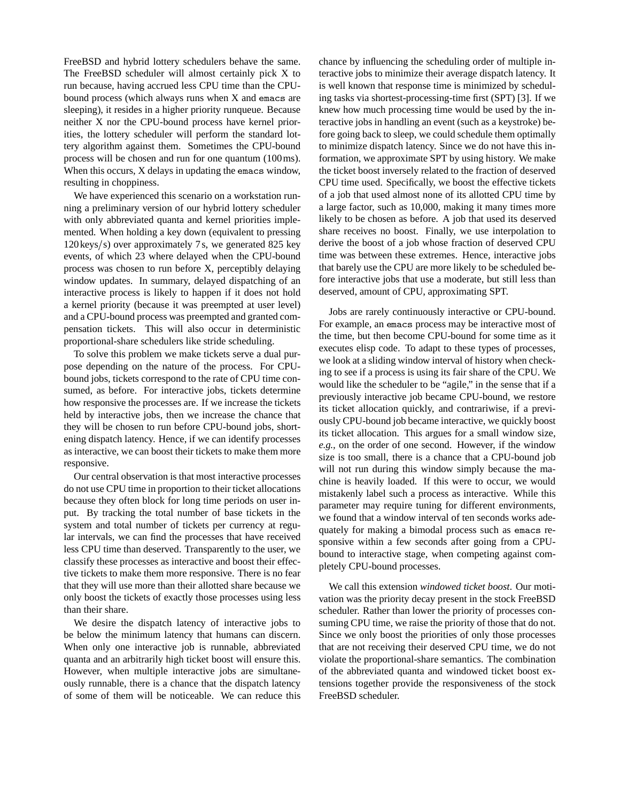FreeBSD and hybrid lottery schedulers behave the same. The FreeBSD scheduler will almost certainly pick X to run because, having accrued less CPU time than the CPUbound process (which always runs when X and emacs are sleeping), it resides in a higher priority runqueue. Because neither X nor the CPU-bound process have kernel priorities, the lottery scheduler will perform the standard lottery algorithm against them. Sometimes the CPU-bound process will be chosen and run for one quantum (100ms). When this occurs, X delays in updating the emacs window, resulting in choppiness.

We have experienced this scenario on a workstation running a preliminary version of our hybrid lottery scheduler with only abbreviated quanta and kernel priorities implemented. When holding a key down (equivalent to pressing 120 keys/s) over approximately 7s, we generated 825 key events, of which 23 where delayed when the CPU-bound process was chosen to run before X, perceptibly delaying window updates. In summary, delayed dispatching of an interactive process is likely to happen if it does not hold a kernel priority (because it was preempted at user level) and a CPU-bound process was preempted and granted compensation tickets. This will also occur in deterministic proportional-share schedulers like stride scheduling.

To solve this problem we make tickets serve a dual purpose depending on the nature of the process. For CPUbound jobs, tickets correspond to the rate of CPU time consumed, as before. For interactive jobs, tickets determine how responsive the processes are. If we increase the tickets held by interactive jobs, then we increase the chance that they will be chosen to run before CPU-bound jobs, shortening dispatch latency. Hence, if we can identify processes as interactive, we can boost their tickets to make them more responsive.

Our central observation is that most interactive processes do not use CPU time in proportion to their ticket allocations because they often block for long time periods on user input. By tracking the total number of base tickets in the system and total number of tickets per currency at regular intervals, we can find the processes that have received less CPU time than deserved. Transparently to the user, we classify these processes as interactive and boost their effective tickets to make them more responsive. There is no fear that they will use more than their allotted share because we only boost the tickets of exactly those processes using less than their share.

We desire the dispatch latency of interactive jobs to be below the minimum latency that humans can discern. When only one interactive job is runnable, abbreviated quanta and an arbitrarily high ticket boost will ensure this. However, when multiple interactive jobs are simultaneously runnable, there is a chance that the dispatch latency of some of them will be noticeable. We can reduce this chance by influencing the scheduling order of multiple interactive jobs to minimize their average dispatch latency. It is well known that response time is minimized by scheduling tasks via shortest-processing-time first (SPT) [3]. If we knew how much processing time would be used by the interactive jobs in handling an event (such as a keystroke) before going back to sleep, we could schedule them optimally to minimize dispatch latency. Since we do not have this information, we approximate SPT by using history. We make the ticket boost inversely related to the fraction of deserved CPU time used. Specifically, we boost the effective tickets of a job that used almost none of its allotted CPU time by a large factor, such as 10,000, making it many times more likely to be chosen as before. A job that used its deserved share receives no boost. Finally, we use interpolation to derive the boost of a job whose fraction of deserved CPU time was between these extremes. Hence, interactive jobs that barely use the CPU are more likely to be scheduled before interactive jobs that use a moderate, but still less than deserved, amount of CPU, approximating SPT.

Jobs are rarely continuously interactive or CPU-bound. For example, an emacs process may be interactive most of the time, but then become CPU-bound for some time as it executes elisp code. To adapt to these types of processes, we look at a sliding window interval of history when checking to see if a process is using its fair share of the CPU. We would like the scheduler to be "agile," in the sense that if a previously interactive job became CPU-bound, we restore its ticket allocation quickly, and contrariwise, if a previously CPU-bound job became interactive, we quickly boost its ticket allocation. This argues for a small window size, *e.g.,* on the order of one second. However, if the window size is too small, there is a chance that a CPU-bound job will not run during this window simply because the machine is heavily loaded. If this were to occur, we would mistakenly label such a process as interactive. While this parameter may require tuning for different environments, we found that a window interval of ten seconds works adequately for making a bimodal process such as emacs responsive within a few seconds after going from a CPUbound to interactive stage, when competing against completely CPU-bound processes.

We call this extension *windowed ticket boost*. Our motivation was the priority decay present in the stock FreeBSD scheduler. Rather than lower the priority of processes consuming CPU time, we raise the priority of those that do not. Since we only boost the priorities of only those processes that are not receiving their deserved CPU time, we do not violate the proportional-share semantics. The combination of the abbreviated quanta and windowed ticket boost extensions together provide the responsiveness of the stock FreeBSD scheduler.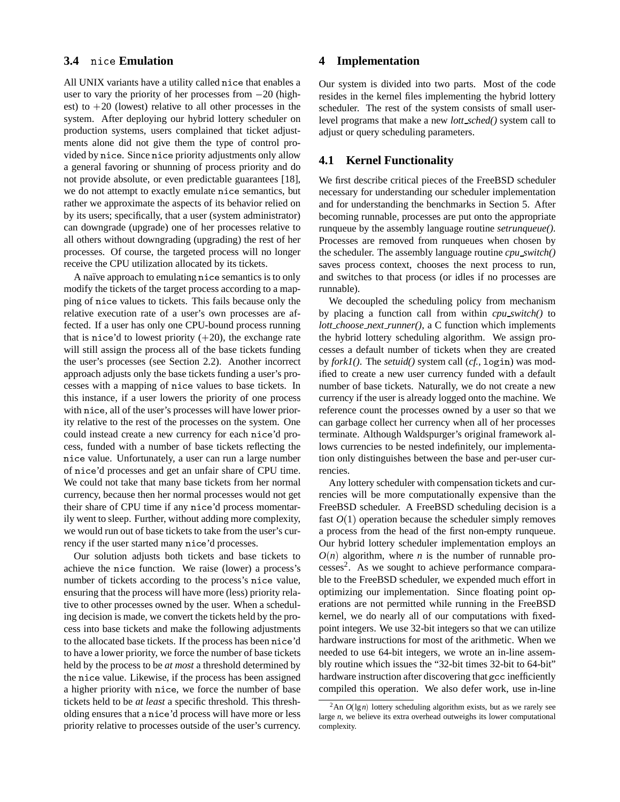## **3.4** nice **Emulation**

All UNIX variants have a utility called nice that enables a user to vary the priority of her processes from  $-20$  (highest) to  $+20$  (lowest) relative to all other processes in the system. After deploying our hybrid lottery scheduler on production systems, users complained that ticket adjustments alone did not give them the type of control provided by nice. Since nice priority adjustments only allow a general favoring or shunning of process priority and do not provide absolute, or even predictable guarantees [18], we do not attempt to exactly emulate nice semantics, but rather we approximate the aspects of its behavior relied on by its users; specifically, that a user (system administrator) can downgrade (upgrade) one of her processes relative to all others without downgrading (upgrading) the rest of her processes. Of course, the targeted process will no longer receive the CPU utilization allocated by its tickets.

A naïve approach to emulating nice semantics is to only modify the tickets of the target process according to a mapping of nice values to tickets. This fails because only the relative execution rate of a user's own processes are affected. If a user has only one CPU-bound process running that is nice'd to lowest priority  $(+20)$ , the exchange rate will still assign the process all of the base tickets funding the user's processes (see Section 2.2). Another incorrect approach adjusts only the base tickets funding a user's processes with a mapping of nice values to base tickets. In this instance, if a user lowers the priority of one process with nice, all of the user's processes will have lower priority relative to the rest of the processes on the system. One could instead create a new currency for each nice'd process, funded with a number of base tickets reflecting the nice value. Unfortunately, a user can run a large number of nice'd processes and get an unfair share of CPU time. We could not take that many base tickets from her normal currency, because then her normal processes would not get their share of CPU time if any nice'd process momentarily went to sleep. Further, without adding more complexity, we would run out of base tickets to take from the user's currency if the user started many nice'd processes.

Our solution adjusts both tickets and base tickets to achieve the nice function. We raise (lower) a process's number of tickets according to the process's nice value, ensuring that the process will have more (less) priority relative to other processes owned by the user. When a scheduling decision is made, we convert the tickets held by the process into base tickets and make the following adjustments to the allocated base tickets. If the process has been nice'd to have a lower priority, we force the number of base tickets held by the process to be *at most* a threshold determined by the nice value. Likewise, if the process has been assigned a higher priority with nice, we force the number of base tickets held to be *at least* a specific threshold. This thresholding ensures that a nice'd process will have more or less priority relative to processes outside of the user's currency.

# **4 Implementation**

Our system is divided into two parts. Most of the code resides in the kernel files implementing the hybrid lottery scheduler. The rest of the system consists of small userlevel programs that make a new *lott sched()* system call to adjust or query scheduling parameters.

# **4.1 Kernel Functionality**

We first describe critical pieces of the FreeBSD scheduler necessary for understanding our scheduler implementation and for understanding the benchmarks in Section 5. After becoming runnable, processes are put onto the appropriate runqueue by the assembly language routine *setrunqueue()*. Processes are removed from runqueues when chosen by the scheduler. The assembly language routine *cpu switch()* saves process context, chooses the next process to run, and switches to that process (or idles if no processes are runnable).

We decoupled the scheduling policy from mechanism by placing a function call from within *cpu switch()* to *lott choose next runner()*, a C function which implements the hybrid lottery scheduling algorithm. We assign processes a default number of tickets when they are created by *fork1()*. The *setuid()* system call (*cf.,* login) was modified to create a new user currency funded with a default number of base tickets. Naturally, we do not create a new currency if the user is already logged onto the machine. We reference count the processes owned by a user so that we can garbage collect her currency when all of her processes terminate. Although Waldspurger's original framework allows currencies to be nested indefinitely, our implementation only distinguishes between the base and per-user currencies.

Any lottery scheduler with compensation tickets and currencies will be more computationally expensive than the FreeBSD scheduler. A FreeBSD scheduling decision is a fast  $O(1)$  operation because the scheduler simply removes a process from the head of the first non-empty runqueue. Our hybrid lottery scheduler implementation employs an  $O(n)$  algorithm, where *n* is the number of runnable processes<sup>2</sup>. As we sought to achieve performance comparable to the FreeBSD scheduler, we expended much effort in optimizing our implementation. Since floating point operations are not permitted while running in the FreeBSD kernel, we do nearly all of our computations with fixedpoint integers. We use 32-bit integers so that we can utilize hardware instructions for most of the arithmetic. When we needed to use 64-bit integers, we wrote an in-line assembly routine which issues the "32-bit times 32-bit to 64-bit" hardware instruction after discovering that gcc inefficiently compiled this operation. We also defer work, use in-line

 $2 \text{An } O(\lg n)$  lottery scheduling algorithm exists, but as we rarely see large *n*, we believe its extra overhead outweighs its lower computational complexity.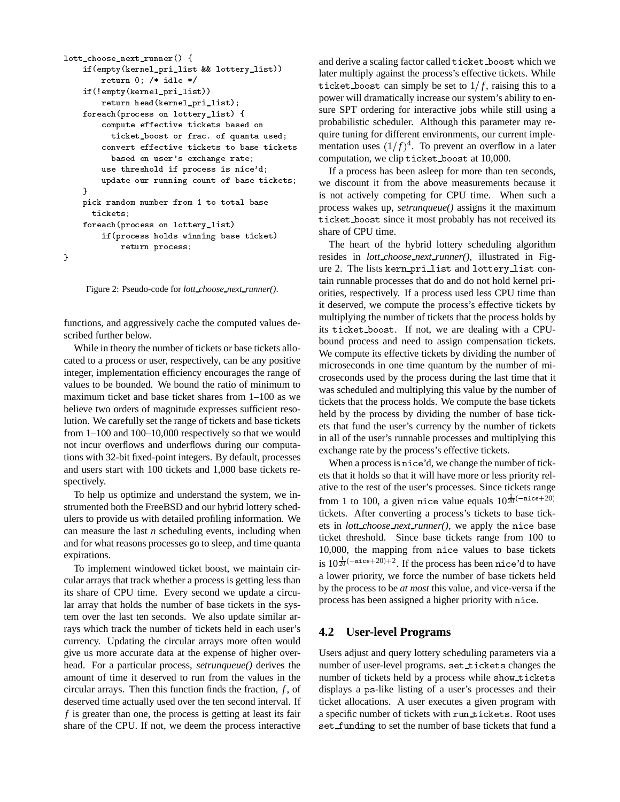```
lott_choose_next_runner(){\bf r} and {\bf r} and {\bf r} and {\bf r}if (empt) (mension_pri_list & wa lotter)_list ())
            return 0; /* idle */
      if(!empty(kernel_pri_list))return head(kernel_pri_list);
      f . The state of f and f is the state of f and f and f are f and f and f and f and f and f and f and f and f and f and f and f and f and f and f and f and f and f and f an
            compute tickets based on the state on the computer on the computer of the contract of the contract on the contract of the contract of the contract of the contract of the contract of the contract of the contract of the cont
               ticket_boost or frac. of quanta used;
               based on user's exchange rate;
            use threshold if process is nice'd;
            upaate our running count of base tickets; (1//1)
      }pick random number from 1 to total base
         tickets;foreach(process on lottery_list)
            if(process holds winning base ticket)
                  return process;
}
```
Figure 2: Pseudo-code for *lott choose next runner()*.

functions, and aggressively cache the computed values described further below.

While in theory the number of tickets or base tickets allocated to a process or user, respectively, can be any positive integer, implementation efficiency encourages the range of values to be bounded. We bound the ratio of minimum to maximum ticket and base ticket shares from 1–100 as we believe two orders of magnitude expresses sufficient resolution. We carefully set the range of tickets and base tickets from 1–100 and 100–10,000 respectively so that we would not incur overflows and underflows during our computations with 32-bit fixed-point integers. By default, processes and users start with 100 tickets and 1,000 base tickets respectively.

To help us optimize and understand the system, we instrumented both the FreeBSD and our hybrid lottery schedulers to provide us with detailed profiling information. We can measure the last *n* scheduling events, including when and for what reasons processes go to sleep, and time quanta expirations.

To implement windowed ticket boost, we maintain circular arrays that track whether a process is getting less than its share of CPU time. Every second we update a circular array that holds the number of base tickets in the system over the last ten seconds. We also update similar arrays which track the number of tickets held in each user's currency. Updating the circular arrays more often would give us more accurate data at the expense of higher overhead. For a particular process, *setrunqueue()* derives the amount of time it deserved to run from the values in the circular arrays. Then this function finds the fraction,  $f$ , of deserved time actually used over the ten second interval. If *f* is greater than one, the process is getting at least its fair share of the CPU. If not, we deem the process interactive

and derive a scaling factor called ticket boost which we later multiply against the process's effective tickets. While ticket boost can simply be set to  $1/f$ , raising this to a power will dramatically increase our system's ability to ensure SPT ordering for interactive jobs while still using a probabilistic scheduler. Although this parameter may require tuning for different environments, our current implementation uses  $(1/f)^4$ . To prevent an overflow in a later computation, we clip ticket boost at 10,000.

If a process has been asleep for more than ten seconds, we discount it from the above measurements because it is not actively competing for CPU time. When such a process wakes up, *setrunqueue()* assigns it the maximum ticket boost since it most probably has not received its share of CPU time.

The heart of the hybrid lottery scheduling algorithm resides in *lott choose next runner()*, illustrated in Figure 2. The lists kern pri list and lottery list contain runnable processes that do and do not hold kernel priorities, respectively. If a process used less CPU time than it deserved, we compute the process's effective tickets by multiplying the number of tickets that the process holds by its ticket boost. If not, we are dealing with a CPUbound process and need to assign compensation tickets. We compute its effective tickets by dividing the number of microseconds in one time quantum by the number of microseconds used by the process during the last time that it was scheduled and multiplying this value by the number of tickets that the process holds. We compute the base tickets held by the process by dividing the number of base tickets that fund the user's currency by the number of tickets in all of the user's runnable processes and multiplying this exchange rate by the process's effective tickets.

When a process is nice'd, we change the number of tickets that it holds so that it will have more or less priority relative to the rest of the user's processes. Since tickets range from 1 to 100, a given nice value equals  $10^{\frac{1}{20}(-\text{nice}+20)}$ tickets. After converting a process's tickets to base tickets in *lott choose next runner()*, we apply the nice base ticket threshold. Since base tickets range from 100 to 10,000, the mapping from nice values to base tickets is  $10^{\frac{1}{20}(-\text{nice}+20)+2}$ . If the process has been nice'd to have a lower priority, we force the number of base tickets held by the process to be *at most* this value, and vice-versa if the process has been assigned a higher priority with nice.

## **4.2 User-level Programs**

Users adjust and query lottery scheduling parameters via a number of user-level programs. set\_tickets changes the number of tickets held by a process while show tickets displays a ps-like listing of a user's processes and their ticket allocations. A user executes a given program with a specific number of tickets with run tickets. Root uses set\_funding to set the number of base tickets that fund a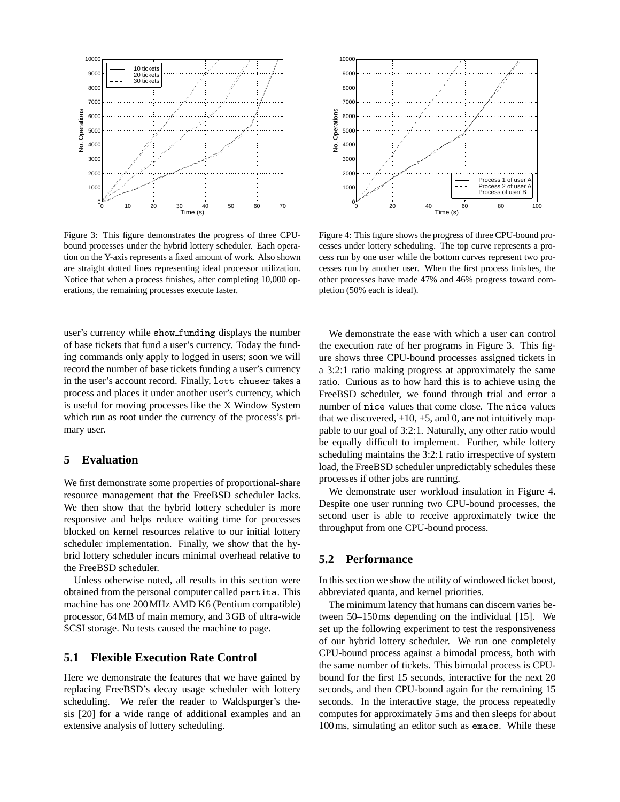

Figure 3: This figure demonstrates the progress of three CPUbound processes under the hybrid lottery scheduler. Each operation on the Y-axis represents a fixed amount of work. Also shown are straight dotted lines representing ideal processor utilization. Notice that when a process finishes, after completing 10,000 operations, the remaining processes execute faster.

user's currency while show\_funding displays the number of base tickets that fund a user's currency. Today the funding commands only apply to logged in users; soon we will record the number of base tickets funding a user's currency in the user's account record. Finally, lott chuser takes a process and places it under another user's currency, which is useful for moving processes like the X Window System which run as root under the currency of the process's primary user.

# **5 Evaluation**

We first demonstrate some properties of proportional-share resource management that the FreeBSD scheduler lacks. We then show that the hybrid lottery scheduler is more responsive and helps reduce waiting time for processes blocked on kernel resources relative to our initial lottery scheduler implementation. Finally, we show that the hybrid lottery scheduler incurs minimal overhead relative to the FreeBSD scheduler.

Unless otherwise noted, all results in this section were obtained from the personal computer called partita. This machine has one 200MHz AMD K6 (Pentium compatible) processor, 64MB of main memory, and 3GB of ultra-wide SCSI storage. No tests caused the machine to page.

## **5.1 Flexible Execution Rate Control**

Here we demonstrate the features that we have gained by replacing FreeBSD's decay usage scheduler with lottery scheduling. We refer the reader to Waldspurger's thesis [20] for a wide range of additional examples and an extensive analysis of lottery scheduling.



Figure 4: This figure shows the progress of three CPU-bound processes under lottery scheduling. The top curve represents a process run by one user while the bottom curves represent two processes run by another user. When the first process finishes, the other processes have made 47% and 46% progress toward completion (50% each is ideal).

We demonstrate the ease with which a user can control the execution rate of her programs in Figure 3. This figure shows three CPU-bound processes assigned tickets in a 3:2:1 ratio making progress at approximately the same ratio. Curious as to how hard this is to achieve using the FreeBSD scheduler, we found through trial and error a number of nice values that come close. The nice values that we discovered,  $+10$ ,  $+5$ , and 0, are not intuitively mappable to our goal of 3:2:1. Naturally, any other ratio would be equally difficult to implement. Further, while lottery scheduling maintains the 3:2:1 ratio irrespective of system load, the FreeBSD scheduler unpredictably schedules these processes if other jobs are running.

We demonstrate user workload insulation in Figure 4. Despite one user running two CPU-bound processes, the second user is able to receive approximately twice the throughput from one CPU-bound process.

## **5.2 Performance**

In this section we show the utility of windowed ticket boost, abbreviated quanta, and kernel priorities.

The minimum latency that humans can discern varies between 50–150ms depending on the individual [15]. We set up the following experiment to test the responsiveness of our hybrid lottery scheduler. We run one completely CPU-bound process against a bimodal process, both with the same number of tickets. This bimodal process is CPUbound for the first 15 seconds, interactive for the next 20 seconds, and then CPU-bound again for the remaining 15 seconds. In the interactive stage, the process repeatedly computes for approximately 5ms and then sleeps for about 100ms, simulating an editor such as emacs. While these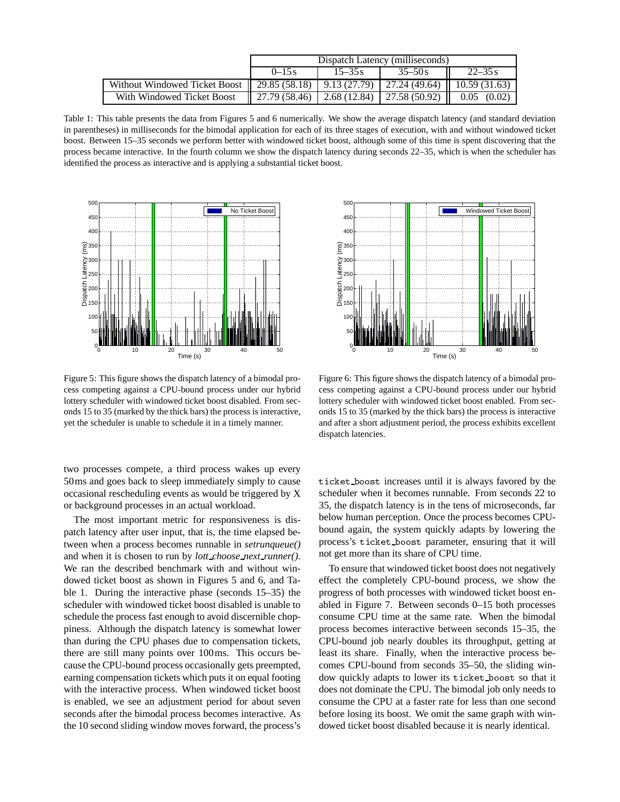|                                                                                      | Dispatch Latency (milliseconds)                                                          |            |            |                 |  |  |  |  |
|--------------------------------------------------------------------------------------|------------------------------------------------------------------------------------------|------------|------------|-----------------|--|--|--|--|
|                                                                                      | $0 - 15s$                                                                                | $15 - 35s$ | $35 - 50s$ | $22 - 35s$      |  |  |  |  |
| Without Windowed Ticket Boost 29.85 (58.18) 9.13 (27.79) 27.24 (49.64) 10.59 (31.63) |                                                                                          |            |            |                 |  |  |  |  |
| With Windowed Ticket Boost                                                           | $\parallel$ 27.79 (58.46) $\parallel$ 2.68 (12.84) $\parallel$ 27.58 (50.92) $\parallel$ |            |            | $0.05$ $(0.02)$ |  |  |  |  |

Table 1: This table presents the data from Figures 5 and 6 numerically. We show the average dispatch latency (and standard deviation in parentheses) in milliseconds for the bimodal application for each of its three stages of execution, with and without windowed ticket boost. Between 15–35 seconds we perform better with windowed ticket boost, although some of this time is spent discovering that the process became interactive. In the fourth column we show the dispatch latency during seconds 22–35, which is when the scheduler has identified the process as interactive and is applying a substantial ticket boost.



Figure 5: This figure shows the dispatch latency of a bimodal process competing against a CPU-bound process under our hybrid lottery scheduler with windowed ticket boost disabled. From seconds 15 to 35 (marked by the thick bars) the process is interactive, yet the scheduler is unable to schedule it in a timely manner.

two processes compete, a third process wakes up every 50ms and goes back to sleep immediately simply to cause occasional rescheduling events as would be triggered by X or background processes in an actual workload.

The most important metric for responsiveness is dispatch latency after user input, that is, the time elapsed between when a process becomes runnable in *setrunqueue()* and when it is chosen to run by *lott choose next runner()*. We ran the described benchmark with and without windowed ticket boost as shown in Figures 5 and 6, and Table 1. During the interactive phase (seconds 15–35) the scheduler with windowed ticket boost disabled is unable to schedule the process fast enough to avoid discernible choppiness. Although the dispatch latency is somewhat lower than during the CPU phases due to compensation tickets, there are still many points over 100ms. This occurs because the CPU-bound process occasionally gets preempted, earning compensation tickets which puts it on equal footing with the interactive process. When windowed ticket boost is enabled, we see an adjustment period for about seven seconds after the bimodal process becomes interactive. As the 10 second sliding window moves forward, the process's



Figure 6: This figure shows the dispatch latency of a bimodal process competing against a CPU-bound process under our hybrid lottery scheduler with windowed ticket boost enabled. From seconds 15 to 35 (marked by the thick bars) the process is interactive and after a short adjustment period, the process exhibits excellent dispatch latencies.

ticket boost increases until it is always favored by the scheduler when it becomes runnable. From seconds 22 to 35, the dispatch latency is in the tens of microseconds, far below human perception. Once the process becomes CPUbound again, the system quickly adapts by lowering the process's ticket boost parameter, ensuring that it will not get more than its share of CPU time.

To ensure that windowed ticket boost does not negatively effect the completely CPU-bound process, we show the progress of both processes with windowed ticket boost enabled in Figure 7. Between seconds 0–15 both processes consume CPU time at the same rate. When the bimodal process becomes interactive between seconds 15–35, the CPU-bound job nearly doubles its throughput, getting at least its share. Finally, when the interactive process becomes CPU-bound from seconds 35–50, the sliding window quickly adapts to lower its ticket boost so that it does not dominate the CPU. The bimodal job only needs to consume the CPU at a faster rate for less than one second before losing its boost. We omit the same graph with windowed ticket boost disabled because it is nearly identical.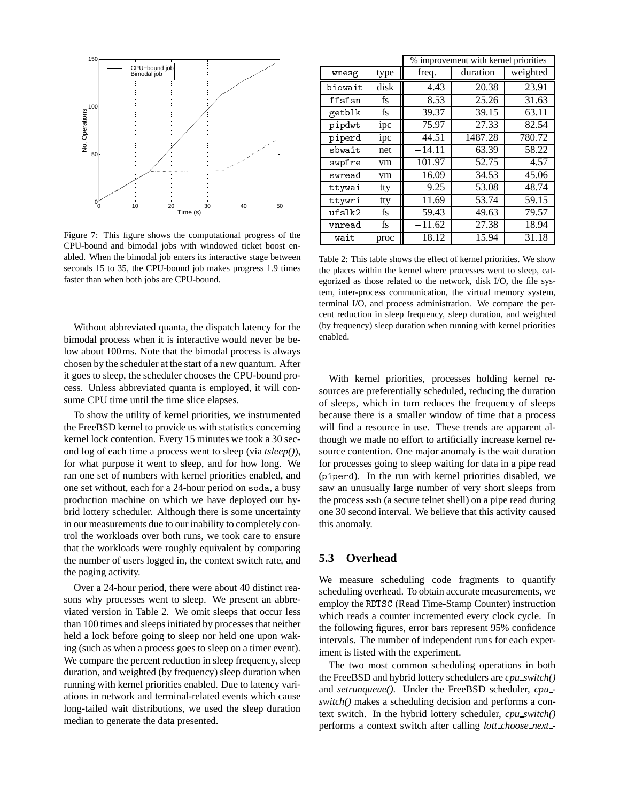

Figure 7: This figure shows the computational progress of the CPU-bound and bimodal jobs with windowed ticket boost enabled. When the bimodal job enters its interactive stage between seconds 15 to 35, the CPU-bound job makes progress 1.9 times faster than when both jobs are CPU-bound.

Without abbreviated quanta, the dispatch latency for the bimodal process when it is interactive would never be below about 100ms. Note that the bimodal process is always chosen by the scheduler at the start of a new quantum. After it goes to sleep, the scheduler chooses the CPU-bound process. Unless abbreviated quanta is employed, it will consume CPU time until the time slice elapses.

To show the utility of kernel priorities, we instrumented the FreeBSD kernel to provide us with statistics concerning kernel lock contention. Every 15 minutes we took a 30 second log of each time a process went to sleep (via *tsleep()*), for what purpose it went to sleep, and for how long. We ran one set of numbers with kernel priorities enabled, and one set without, each for a 24-hour period on soda, a busy production machine on which we have deployed our hybrid lottery scheduler. Although there is some uncertainty in our measurements due to our inability to completely control the workloads over both runs, we took care to ensure that the workloads were roughly equivalent by comparing the number of users logged in, the context switch rate, and the paging activity.

Over a 24-hour period, there were about 40 distinct reasons why processes went to sleep. We present an abbreviated version in Table 2. We omit sleeps that occur less than 100 times and sleeps initiated by processes that neither held a lock before going to sleep nor held one upon waking (such as when a process goes to sleep on a timer event). We compare the percent reduction in sleep frequency, sleep duration, and weighted (by frequency) sleep duration when running with kernel priorities enabled. Due to latency variations in network and terminal-related events which cause long-tailed wait distributions, we used the sleep duration median to generate the data presented.

|         |      | % improvement with kernel priorities |            |           |  |  |  |
|---------|------|--------------------------------------|------------|-----------|--|--|--|
| wmesg   | type | freq.                                | duration   | weighted  |  |  |  |
| biowait | disk | 4.43                                 | 20.38      | 23.91     |  |  |  |
| ffsfsn  | fs   | 8.53                                 | 25.26      | 31.63     |  |  |  |
| getblk  | fs   | 39.37                                | 39.15      | 63.11     |  |  |  |
| pipdwt  | ipc  | 75.97                                | 27.33      | 82.54     |  |  |  |
| piperd  | ipc  | 44.51                                | $-1487.28$ | $-780.72$ |  |  |  |
| sbwait  | net  | $-14.11$                             | 63.39      | 58.22     |  |  |  |
| swpfre  | vm   | $-101.97$                            | 52.75      | 4.57      |  |  |  |
| swread  | vm   | 16.09                                | 34.53      | 45.06     |  |  |  |
| ttywai  | tty  | $-9.25$                              | 53.08      | 48.74     |  |  |  |
| ttywri  | tty  | 11.69                                | 53.74      | 59.15     |  |  |  |
| ufslk2  | fs   | 59.43                                | 49.63      | 79.57     |  |  |  |
| vnread  | fs   | $-11.62$                             | 27.38      | 18.94     |  |  |  |
| wait    | proc | 18.12                                | 15.94      | 31.18     |  |  |  |

Table 2: This table shows the effect of kernel priorities. We show the places within the kernel where processes went to sleep, categorized as those related to the network, disk I/O, the file system, inter-process communication, the virtual memory system, terminal I/O, and process administration. We compare the percent reduction in sleep frequency, sleep duration, and weighted (by frequency) sleep duration when running with kernel priorities enabled.

With kernel priorities, processes holding kernel resources are preferentially scheduled, reducing the duration of sleeps, which in turn reduces the frequency of sleeps because there is a smaller window of time that a process will find a resource in use. These trends are apparent although we made no effort to artificially increase kernel resource contention. One major anomaly is the wait duration for processes going to sleep waiting for data in a pipe read (piperd). In the run with kernel priorities disabled, we saw an unusually large number of very short sleeps from the process ssh (a secure telnet shell) on a pipe read during one 30 second interval. We believe that this activity caused this anomaly.

## **5.3 Overhead**

We measure scheduling code fragments to quantify scheduling overhead. To obtain accurate measurements, we employ the RDTSC (Read Time-Stamp Counter) instruction which reads a counter incremented every clock cycle. In the following figures, error bars represent 95% confidence intervals. The number of independent runs for each experiment is listed with the experiment.

The two most common scheduling operations in both the FreeBSD and hybrid lottery schedulers are *cpu switch()* and *setrunqueue()*. Under the FreeBSD scheduler, *cpu switch()* makes a scheduling decision and performs a context switch. In the hybrid lottery scheduler, *cpu switch()* performs a context switch after calling *lott choose next -*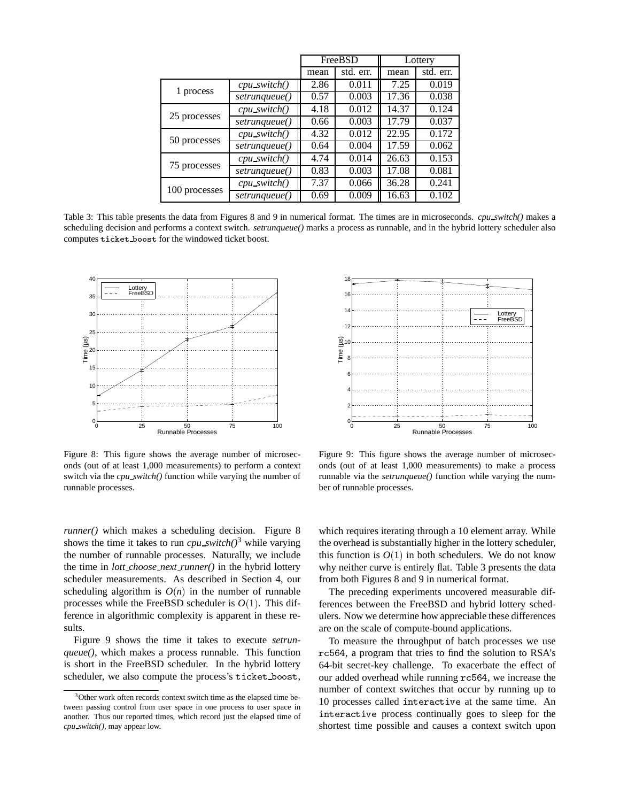|               |                 |      | FreeBSD   | Lottery |           |  |
|---------------|-----------------|------|-----------|---------|-----------|--|
|               |                 | mean | std. err. | mean    | std. err. |  |
|               | $cpu$ switch()  | 2.86 | 0.011     | 7.25    | 0.019     |  |
| 1 process     | setrunqueue()   | 0.57 | 0.003     | 17.36   | 0.038     |  |
| 25 processes  | $cpu$ switch()  | 4.18 | 0.012     | 14.37   | 0.124     |  |
|               | setrunqueue()   | 0.66 | 0.003     | 17.79   | 0.037     |  |
| 50 processes  | $cpu\_switch()$ | 4.32 | 0.012     | 22.95   | 0.172     |  |
|               | setrunqueue()   | 0.64 | 0.004     | 17.59   | 0.062     |  |
| 75 processes  | $cpu\_switch()$ | 4.74 | 0.014     | 26.63   | 0.153     |  |
|               | setrunqueue()   | 0.83 | 0.003     | 17.08   | 0.081     |  |
|               | $cpu\_switch()$ | 7.37 | 0.066     | 36.28   | 0.241     |  |
| 100 processes | setrunqueue()   | 0.69 | 0.009     | 16.63   | 0.102     |  |

Table 3: This table presents the data from Figures 8 and 9 in numerical format. The times are in microseconds. *cpu switch()* makes a scheduling decision and performs a context switch. *setrunqueue()* marks a process as runnable, and in the hybrid lottery scheduler also computes ticket boost for the windowed ticket boost.



Figure 8: This figure shows the average number of microseconds (out of at least 1,000 measurements) to perform a context switch via the *cpu switch()* function while varying the number of runnable processes.

*runner()* which makes a scheduling decision. Figure 8 shows the time it takes to run *cpu switch*( $)^3$  while varying the number of runnable processes. Naturally, we include the time in *lott choose next runner()* in the hybrid lottery scheduler measurements. As described in Section 4, our scheduling algorithm is  $O(n)$  in the number of runnable processes while the FreeBSD scheduler is  $O(1)$ . This difference in algorithmic complexity is apparent in these results.

Figure 9 shows the time it takes to execute *setrunqueue()*, which makes a process runnable. This function is short in the FreeBSD scheduler. In the hybrid lottery scheduler, we also compute the process's ticket boost,



Figure 9: This figure shows the average number of microseconds (out of at least 1,000 measurements) to make a process runnable via the *setrunqueue()* function while varying the number of runnable processes.

which requires iterating through a 10 element array. While the overhead is substantially higher in the lottery scheduler, this function is  $O(1)$  in both schedulers. We do not know why neither curve is entirely flat. Table 3 presents the data from both Figures 8 and 9 in numerical format.

The preceding experiments uncovered measurable differences between the FreeBSD and hybrid lottery schedulers. Now we determine how appreciable these differences are on the scale of compute-bound applications.

To measure the throughput of batch processes we use rc564, a program that tries to find the solution to RSA's 64-bit secret-key challenge. To exacerbate the effect of our added overhead while running rc564, we increase the number of context switches that occur by running up to 10 processes called interactive at the same time. An interactive process continually goes to sleep for the shortest time possible and causes a context switch upon

<sup>3</sup>Other work often records context switch time as the elapsed time between passing control from user space in one process to user space in another. Thus our reported times, which record just the elapsed time of *cpu switch()*, may appear low.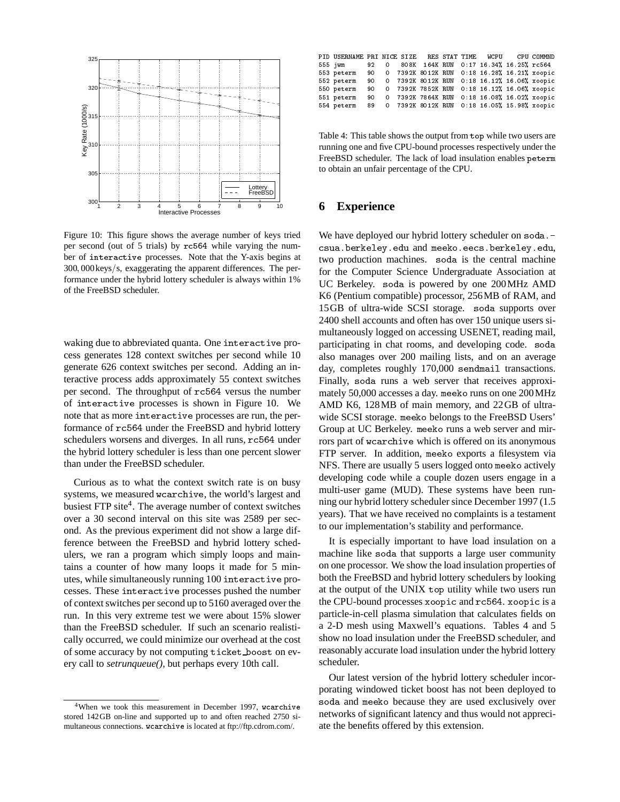

Figure 10: This figure shows the average number of keys tried per second (out of 5 trials) by rc564 while varying the number of interactive processes. Note that the Y-axis begins at  $300,000$ keys/s, exaggerating the apparent differences. The performance under the hybrid lottery scheduler is always within 1% of the FreeBSD scheduler.

waking due to abbreviated quanta. One interactive process generates 128 context switches per second while 10 generate 626 context switches per second. Adding an interactive process adds approximately 55 context switches per second. The throughput of rc564 versus the number of interactive processes is shown in Figure 10. We note that as more interactive processes are run, the performance of rc564 under the FreeBSD and hybrid lottery schedulers worsens and diverges. In all runs, rc564 under the hybrid lottery scheduler is less than one percent slower than under the FreeBSD scheduler.

Curious as to what the context switch rate is on busy systems, we measured wcarchive, the world's largest and busiest FTP site<sup>4</sup>. The average number of context switches over a 30 second interval on this site was 2589 per second. As the previous experiment did not show a large difference between the FreeBSD and hybrid lottery schedulers, we ran a program which simply loops and maintains a counter of how many loops it made for 5 minutes, while simultaneously running 100 interactive processes. These interactive processes pushed the number of context switches per second up to 5160 averaged over the run. In this very extreme test we were about 15% slower than the FreeBSD scheduler. If such an scenario realistically occurred, we could minimize our overhead at the cost of some accuracy by not computing ticket boost on every call to *setrunqueue()*, but perhaps every 10th call.

| PID USERNAME PRI NICE SIZE RES STAT TIME WCPU CPU COMMND    |  |  |  |  |  |
|-------------------------------------------------------------|--|--|--|--|--|
| 555 jwm 92 0 808K 164K RUN 0:17 16.34% 16.25% rc564         |  |  |  |  |  |
| 553 peterm 90 0 7392K 8012K RUN 0:18 16.28%, 16.21%, xoopic |  |  |  |  |  |
| 552 peterm 90 0 7392K 8012K RUN 0:18 16.12% 16.06% xoopic   |  |  |  |  |  |
| 550 peterm 90 0 7392K 7852K RUN 0:18 16.12%, 16.06%, xoopic |  |  |  |  |  |
| 551 peterm 90 0 7392K 7864K RUN 0:18 16.08% 16.02% xoopic   |  |  |  |  |  |
| 554 peterm 89 0 7392K 8012K RUN 0:18 16.05% 15.98% xoopic   |  |  |  |  |  |

Table 4: This table shows the output from top while two users are running one and five CPU-bound processes respectively under the FreeBSD scheduler. The lack of load insulation enables peterm to obtain an unfair percentage of the CPU.

# **6 Experience**

We have deployed our hybrid lottery scheduler on soda.csua.berkeley.edu and meeko.eecs.berkeley.edu, two production machines. soda is the central machine for the Computer Science Undergraduate Association at UC Berkeley. soda is powered by one 200MHz AMD K6 (Pentium compatible) processor, 256MB of RAM, and 15GB of ultra-wide SCSI storage. soda supports over 2400 shell accounts and often has over 150 unique users simultaneously logged on accessing USENET, reading mail, participating in chat rooms, and developing code. soda also manages over 200 mailing lists, and on an average day, completes roughly 170,000 sendmail transactions. Finally, soda runs a web server that receives approximately 50,000 accesses a day. meeko runs on one 200MHz AMD K6, 128MB of main memory, and 22GB of ultrawide SCSI storage. meeko belongs to the FreeBSD Users' Group at UC Berkeley. meeko runs a web server and mirrors part of wcarchive which is offered on its anonymous FTP server. In addition, meeko exports a filesystem via NFS. There are usually 5 users logged onto meeko actively developing code while a couple dozen users engage in a multi-user game (MUD). These systems have been running our hybrid lottery scheduler since December 1997 (1.5 years). That we have received no complaints is a testament to our implementation's stability and performance.

It is especially important to have load insulation on a machine like soda that supports a large user community on one processor. We show the load insulation properties of both the FreeBSD and hybrid lottery schedulers by looking at the output of the UNIX top utility while two users run the CPU-bound processes xoopic and rc564. xoopic is a particle-in-cell plasma simulation that calculates fields on a 2-D mesh using Maxwell's equations. Tables 4 and 5 show no load insulation under the FreeBSD scheduler, and reasonably accurate load insulation under the hybrid lottery scheduler.

Our latest version of the hybrid lottery scheduler incorporating windowed ticket boost has not been deployed to soda and meeko because they are used exclusively over networks of significant latency and thus would not appreciate the benefits offered by this extension.

<sup>&</sup>lt;sup>4</sup>When we took this measurement in December 1997, wcarchive stored 142GB on-line and supported up to and often reached 2750 simultaneous connections. wcarchive is located at ftp://ftp.cdrom.com/.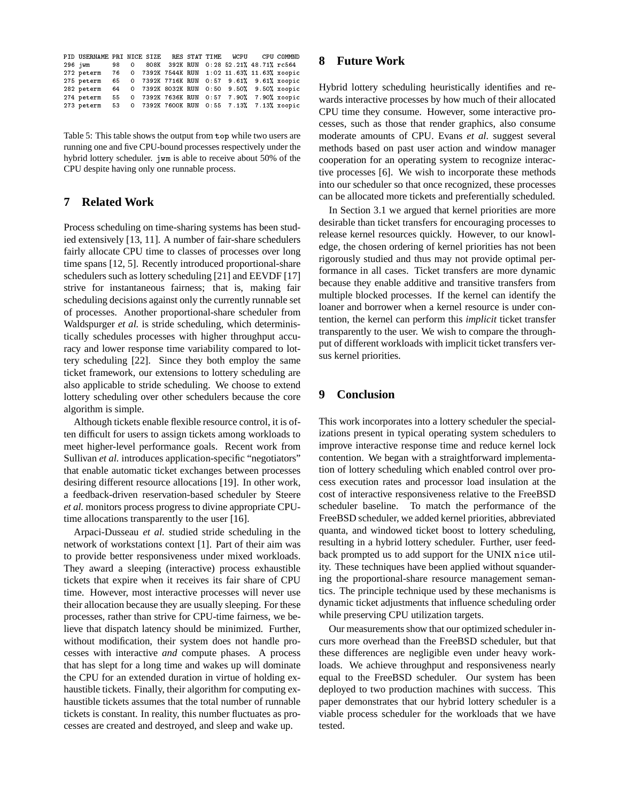| PID USERNAME PRI NICE SIZE RES STAT TIME WCPU CPU COMMND<br>296 jwm 98 0 808K 392K RUN 0:28 52.21% 48.71% rc564 |  |                      |  |                                               |  | 8      |
|-----------------------------------------------------------------------------------------------------------------|--|----------------------|--|-----------------------------------------------|--|--------|
| 272 peterm 76 0 7392K 7544K RUN 1:02 11.63% 11.63% xoopic                                                       |  |                      |  |                                               |  |        |
| 275 peterm                                                                                                      |  | 65 0 7392K 7716K RUN |  | $0.57$ 9.61% 9.61% xoopic                     |  |        |
| 282 peterm                                                                                                      |  |                      |  | 64 0 7392K 8032K RUN 0:50 9.50% 9.50% xoopic  |  | H      |
| 274 peterm                                                                                                      |  |                      |  | 55 0 7392K 7636K RUN 0:57 7.90% 7.90% xoopic  |  | W:     |
| 273 peterm                                                                                                      |  |                      |  | 53 0 7392K 7600K RUN 0:55 7.13%, 7.13% xoopic |  | $\sim$ |

Table 5: This table shows the output from top while two users are running one and five CPU-bound processes respectively under the hybrid lottery scheduler. jwm is able to receive about 50% of the CPU despite having only one runnable process.

# **7 Related Work**

Process scheduling on time-sharing systems has been studied extensively [13, 11]. A number of fair-share schedulers fairly allocate CPU time to classes of processes over long time spans [12, 5]. Recently introduced proportional-share schedulers such as lottery scheduling [21] and EEVDF [17] strive for instantaneous fairness; that is, making fair scheduling decisions against only the currently runnable set of processes. Another proportional-share scheduler from Waldspurger *et al.* is stride scheduling, which deterministically schedules processes with higher throughput accuracy and lower response time variability compared to lottery scheduling [22]. Since they both employ the same ticket framework, our extensions to lottery scheduling are also applicable to stride scheduling. We choose to extend lottery scheduling over other schedulers because the core algorithm is simple.

Although tickets enable flexible resource control, it is often difficult for users to assign tickets among workloads to meet higher-level performance goals. Recent work from Sullivan *et al.* introduces application-specific "negotiators" that enable automatic ticket exchanges between processes desiring different resource allocations [19]. In other work, a feedback-driven reservation-based scheduler by Steere *et al.* monitors process progress to divine appropriate CPUtime allocations transparently to the user [16].

Arpaci-Dusseau *et al.* studied stride scheduling in the network of workstations context [1]. Part of their aim was to provide better responsiveness under mixed workloads. They award a sleeping (interactive) process exhaustible tickets that expire when it receives its fair share of CPU time. However, most interactive processes will never use their allocation because they are usually sleeping. For these processes, rather than strive for CPU-time fairness, we believe that dispatch latency should be minimized. Further, without modification, their system does not handle processes with interactive *and* compute phases. A process that has slept for a long time and wakes up will dominate the CPU for an extended duration in virtue of holding exhaustible tickets. Finally, their algorithm for computing exhaustible tickets assumes that the total number of runnable tickets is constant. In reality, this number fluctuates as processes are created and destroyed, and sleep and wake up.

# **8 Future Work**

Hybrid lottery scheduling heuristically identifies and rewards interactive processes by how much of their allocated CPU time they consume. However, some interactive processes, such as those that render graphics, also consume moderate amounts of CPU. Evans *et al.* suggest several methods based on past user action and window manager cooperation for an operating system to recognize interactive processes [6]. We wish to incorporate these methods into our scheduler so that once recognized, these processes can be allocated more tickets and preferentially scheduled.

In Section 3.1 we argued that kernel priorities are more desirable than ticket transfers for encouraging processes to release kernel resources quickly. However, to our knowledge, the chosen ordering of kernel priorities has not been rigorously studied and thus may not provide optimal performance in all cases. Ticket transfers are more dynamic because they enable additive and transitive transfers from multiple blocked processes. If the kernel can identify the loaner and borrower when a kernel resource is under contention, the kernel can perform this *implicit* ticket transfer transparently to the user. We wish to compare the throughput of different workloads with implicit ticket transfers versus kernel priorities.

# **9 Conclusion**

This work incorporates into a lottery scheduler the specializations present in typical operating system schedulers to improve interactive response time and reduce kernel lock contention. We began with a straightforward implementation of lottery scheduling which enabled control over process execution rates and processor load insulation at the cost of interactive responsiveness relative to the FreeBSD scheduler baseline. To match the performance of the FreeBSD scheduler, we added kernel priorities, abbreviated quanta, and windowed ticket boost to lottery scheduling, resulting in a hybrid lottery scheduler. Further, user feedback prompted us to add support for the UNIX nice utility. These techniques have been applied without squandering the proportional-share resource management semantics. The principle technique used by these mechanisms is dynamic ticket adjustments that influence scheduling order while preserving CPU utilization targets.

Our measurements show that our optimized scheduler incurs more overhead than the FreeBSD scheduler, but that these differences are negligible even under heavy workloads. We achieve throughput and responsiveness nearly equal to the FreeBSD scheduler. Our system has been deployed to two production machines with success. This paper demonstrates that our hybrid lottery scheduler is a viable process scheduler for the workloads that we have tested.